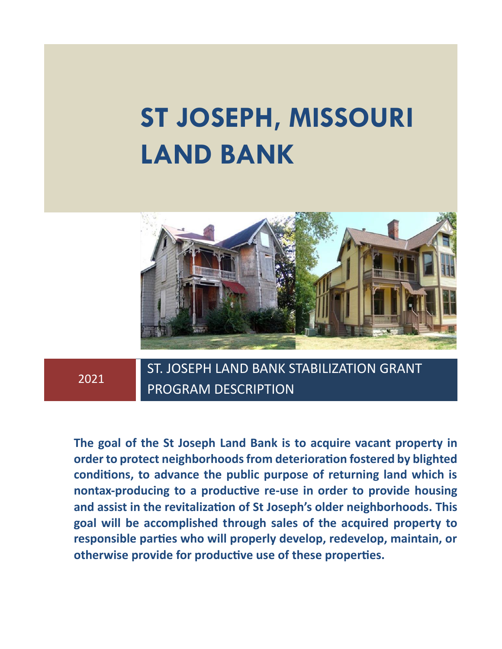# **ST JOSEPH, MISSOURI LAND BANK**



# 2021

ST. JOSEPH LAND BANK STABILIZATION GRANT PROGRAM DESCRIPTION

**The goal of the St Joseph Land Bank is to acquire vacant property in order to protect neighborhoods from deterioration fostered by blighted conditions, to advance the public purpose of returning land which is nontax-producing to a productive re-use in order to provide housing and assist in the revitalization of St Joseph's older neighborhoods. This goal will be accomplished through sales of the acquired property to responsible parties who will properly develop, redevelop, maintain, or otherwise provide for productive use of these properties.**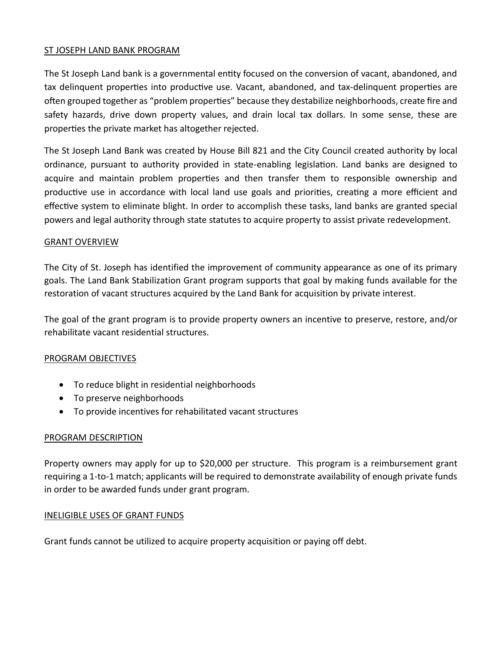#### ST JOSEPH LAND BANK PROGRAM

The St Joseph Land bank is a governmental entity focused on the conversion of vacant, abandoned, and tax delinquent properties into productive use. Vacant, abandoned, and tax-delinquent properties are often grouped together as "problem properties" because they destabilize neighborhoods, create fire and safety hazards, drive down property values, and drain local tax dollars. In some sense, these are properties the private market has altogether rejected.

The St Joseph Land Bank was created by House Bill 821 and the City Council created authority by local ordinance, pursuant to authority provided in state-enabling legislation. Land banks are designed to acquire and maintain problem properties and then transfer them to responsible ownership and productive use in accordance with local land use goals and priorities, creating a more efficient and effective system to eliminate blight. In order to accomplish these tasks, land banks are granted special powers and legal authority through state statutes to acquire property to assist private redevelopment.

#### GRANT OVERVIEW

The City of St. Joseph has identified the improvement of community appearance as one of its primary goals. The Land Bank Stabilization Grant program supports that goal by making funds available for the restoration of vacant structures acquired by the Land Bank for acquisition by private interest.

The goal of the grant program is to provide property owners an incentive to preserve, restore, and/or rehabilitate vacant residential structures.

#### PROGRAM OBJECTIVES

- To reduce blight in residential neighborhoods
- To preserve neighborhoods
- To provide incentives for rehabilitated vacant structures

#### PROGRAM DESCRIPTION

Property owners may apply for up to \$20,000 per structure. This program is a reimbursement grant requiring a 1-to-1 match; applicants will be required to demonstrate availability of enough private funds in order to be awarded funds under grant program.

#### INELIGIBLE USES OF GRANT FUNDS

Grant funds cannot be utilized to acquire property acquisition or paying off debt.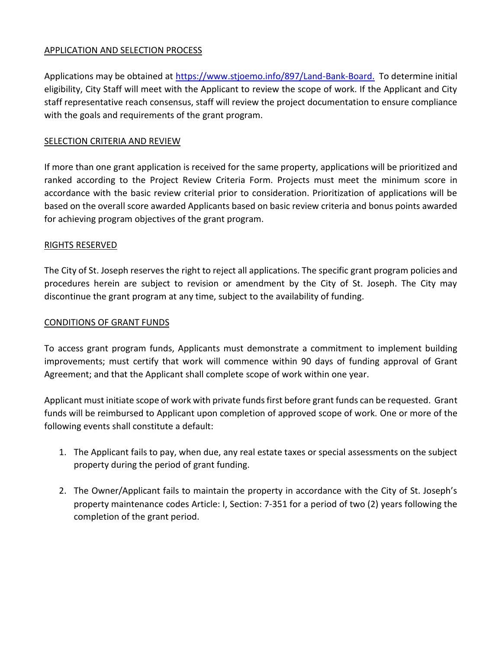# APPLICATION AND SELECTION PROCESS

Applications may be obtained at [https://www.stjoemo.info/897/Land-Bank-Board.](https://www.stjoemo.info/897/Land-Bank-Board) To determine initial eligibility, City Staff will meet with the Applicant to review the scope of work. If the Applicant and City staff representative reach consensus, staff will review the project documentation to ensure compliance with the goals and requirements of the grant program.

# SELECTION CRITERIA AND REVIEW

If more than one grant application is received for the same property, applications will be prioritized and ranked according to the Project Review Criteria Form. Projects must meet the minimum score in accordance with the basic review criterial prior to consideration. Prioritization of applications will be based on the overall score awarded Applicants based on basic review criteria and bonus points awarded for achieving program objectives of the grant program.

# RIGHTS RESERVED

The City of St. Joseph reserves the right to reject all applications. The specific grant program policies and procedures herein are subject to revision or amendment by the City of St. Joseph. The City may discontinue the grant program at any time, subject to the availability of funding.

# CONDITIONS OF GRANT FUNDS

To access grant program funds, Applicants must demonstrate a commitment to implement building improvements; must certify that work will commence within 90 days of funding approval of Grant Agreement; and that the Applicant shall complete scope of work within one year.

Applicant must initiate scope of work with private funds first before grant funds can be requested. Grant funds will be reimbursed to Applicant upon completion of approved scope of work. One or more of the following events shall constitute a default:

- 1. The Applicant fails to pay, when due, any real estate taxes or special assessments on the subject property during the period of grant funding.
- 2. The Owner/Applicant fails to maintain the property in accordance with the City of St. Joseph's property maintenance codes Article: I, Section: 7-351 for a period of two (2) years following the completion of the grant period.